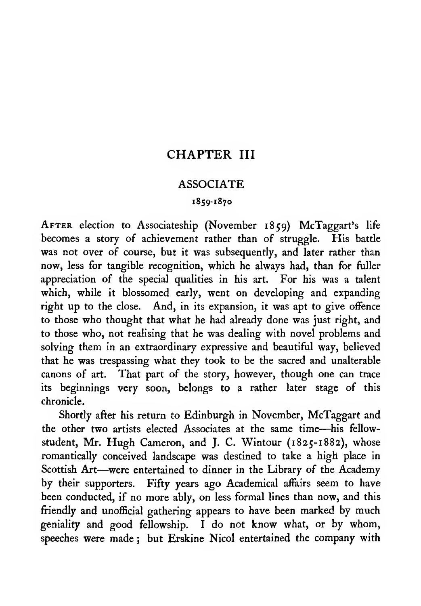### CHAPTER III

### ASSOCIATE

#### 1859-1870

AFTER election to Associateship (November 1859) McTaggart's life becomes a story of achievement rather than of struggle. His battle was not over of course, but it was subsequently, and later rather than now, less for tangible recognition, which he always had, than for fuller appreciation of the special qualities in his art. For his was a talent which, while it blossomed early, went on developing and expanding right up to the close. And, in its expansion, it was apt to give offence to those who thought that what he had already done was just right, and to those who, not realising that he was dealing with novel problems and solving them in an extraordinary expressive and beautiful way, believed that he was trespassing what they took to be the sacred and unalterable canons of art. That part of the story, however, though one can trace its beginnings very soon, belongs to a rather later stage of this chronicle.

Shortly after his return to Edinburgh in November, McTaggart and the other two artists elected Associates at the same time—his fellowstudent, Mr. Hugh Cameron, and J. C. Wintour (1825-1882), whose romantically conceived landscape was destined to take a high place in Scottish Art—were entertained to dinner in the Library of the Academy by their supporters. Fifty years ago Academical affairs seem to have been conducted, if no more ably, on less formal lines than now, and this friendly and unofficial gathering appears to have been marked by much geniality and good fellowship. <sup>I</sup> do not know what, or by whom, speeches were made ; but Erskine Nicol entertained the company with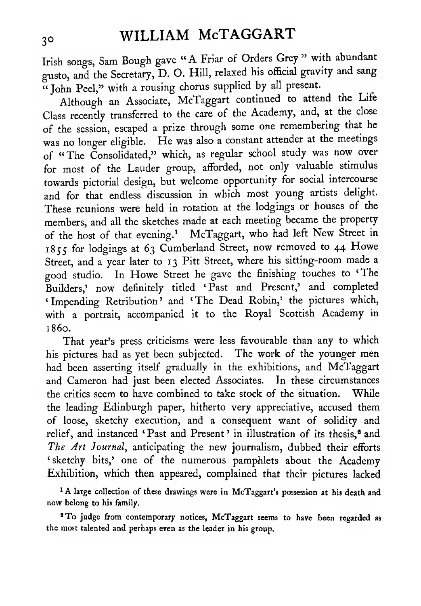Irish songs, Sam Bough gave "A Friar of Orders Grey » with abundant gusto, and the Secretary, D. O. Hill, relaxed his official gravity and sang " John Peel," with a rousing chorus supplied by all present.

Although an Associate, McTaggart continued to attend the Life Class recently transferred to the care of the Academy, and, at the close of the session, escaped <sup>a</sup> prize through some one remembering that he was no longer eligible. He was also a constant attender at the meetings of "The Consolidated," which, as regular school study was now over for most of the Lauder group, afforded, not only valuable stimulus towards pictorial design, but welcome opportunity for social intercourse and for that endless discussion in which most young artists delight. These reunions were held in rotation at the lodgings or houses of the members, and all the sketches made at each meeting became the property of the host of that evening.<sup>1</sup> McTaggart, who had left New Street in 1855 for lodgings at 63 Cumberland Street, now removed to 44 Howe Street, and <sup>a</sup> year later to <sup>13</sup> Pitt Street, where his sitting-room made <sup>a</sup> good studio. In Howe Street he gave the finishing touches to 'The Builders,' now definitely titled 'Past and Present,' and completed 'Impending Retribution' and 'The Dead Robin,' the pictures which, with <sup>a</sup> portrait, accompanied it to the Royal Scottish Academy in i860.

That year's press criticisms were less favourable than any to which his pictures had as yet been subjected. The work of the younger men had been asserting itself gradually in the exhibitions, and McTaggart and Cameron had just been elected Associates. In these circumstances the critics seem to have combined to take stock of the situation. While the leading Edinburgh paper, hitherto very appreciative, accused them of loose, sketchy execution, and a consequent want of solidity and relief, and instanced 'Past and Present' in illustration of its thesis,<sup>2</sup> and The Art Journal, anticipating the new journalism, dubbed their efforts 'sketchy bits,' one of the numerous pamphlets about the Academy Exhibition, which then appeared, complained that their pictures lacked

<sup>1</sup> A large collection of these drawings were in McTaggart's possession at his death and now belong to his family.

<sup>2</sup>To judge from contemporary notices, McTaggart seems to have been regarded as the most talented and perhaps even as the leader in his group.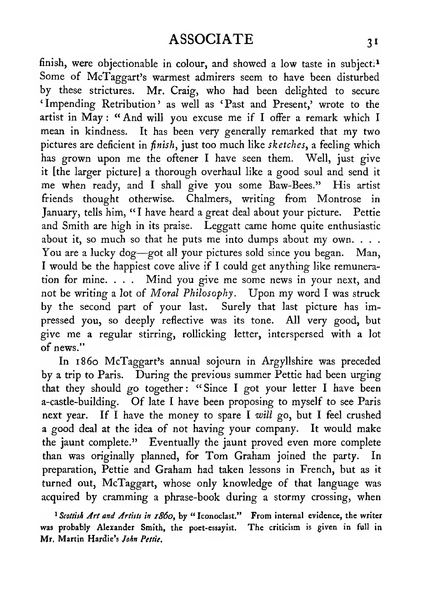finish, were objectionable in colour, and showed a low taste in subject.<sup>1</sup> Some of McTaggart's warmest admirers seem to have been disturbed by these strictures. Mr. Craig, who had been delighted to secure 'Impending Retribution' as well as 'Past and Present,' wrote to the artist in May : " And will you excuse me if <sup>I</sup> offer <sup>a</sup> remark which <sup>I</sup> mean in kindness. It has been very generally remarked that my two pictures are deficient in finish, just too much like sketches, a feeling which has grown upon me the oftener I have seen them. Well, just give it [the larger picture] a thorough overhaul like a good soul and send it me when ready, and <sup>I</sup> shall give you some Baw-Bees." His artist friends thought otherwise. Chalmers, writing from Montrose in January, tells him, "I have heard a great deal about your picture. Pettie and Smith are high in its praise. Leggatt came home quite enthusiastic about it, so much so that he puts me into dumps about my own. . . . You are a lucky dog-got all your pictures sold since you began. Man, <sup>I</sup> would be the happiest cove alive if <sup>I</sup> could get anything like remuneration for mine. . . . Mind you give me some news in your next, and not be writing <sup>a</sup> lot of Moral Philosophy. Upon my word <sup>I</sup> was struck by the second part of your last. Surely that last picture has impressed you, so deeply reflective was its tone. All very good, but give me <sup>a</sup> regular stirring, rollicking letter, interspersed with <sup>a</sup> lot of news."

In i860 McTaggart's annual sojourn in Argyllshire was preceded by a trip to Paris. During the previous summer Pettie had been urging that they should go together: "Since I got your letter I have been a-casde-building. Of late <sup>I</sup> have been proposing to myself to see Paris next year. If I have the money to spare I will go, but I feel crushed a good deal at the idea of not having your company. It would make the jaunt complete." Eventually the jaunt proved even more complete than was originally planned, for Tom Graham joined the party. In preparation, Pettie and Graham had taken lessons in French, but as it turned out, McTaggart, whose only knowledge of that language was acquired by cramming a phrase-book during a stormy crossing, when

<sup>1</sup> Scottish Art and Artists in 1860, by " Iconoclast." From internal evidence, the writer was probably Alexander Smith, the poet-essayist. The criticism is given in full in Mr. Martin Hardie's John Pettie.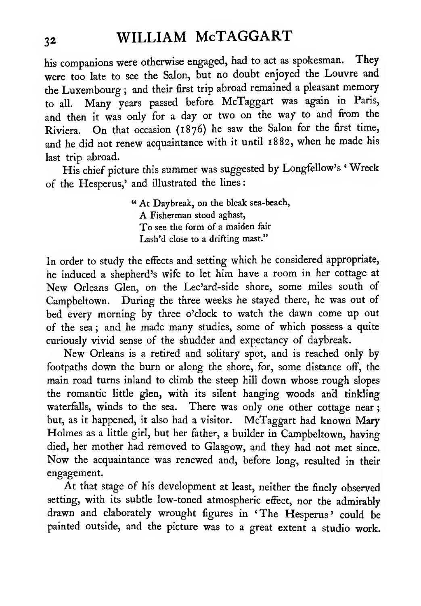his companions were otherwise engaged, had to act as spokesman. They were too late to see the Salon, but no doubt enjoyed the Louvre and the Luxembourg ; and their first trip abroad remained <sup>a</sup> pleasant memory to all. Many years passed before McTaggart was again in Paris, and then it was only for <sup>a</sup> day or two on the way to and from the Riviera. On that occasion (1876) he saw the Salon for the first time, and he did not renew acquaintance with it until 1882, when he made his last trip abroad.

His chief picture this summer was suggested by Longfellow's ' Wreck of the Hesperus,' and illustrated the lines:

> " At Daybreak, on the bleak sea-beach, A Fisherman stood aghast. To see the form of <sup>a</sup> maiden fair Lash'd close to a drifting mast."

In order to study the effects and setting which he considered appropriate, he induced <sup>a</sup> shepherd's wife to let him have <sup>a</sup> room in her cottage at New Orleans Glen, on the Lee'ard-side shore, some miles south of Campbeltown. During the three weeks he stayed there, he was out of bed every morning by three o'clock to watch the dawn come up out of the sea ; and he made many studies, some of which possess a quite curiously vivid sense of the shudder and expectancy of daybreak.

New Orleans is <sup>a</sup> retired and solitary spot, and is reached only by footpaths down the burn or along the shore, for, some distance off^, the main road turns inland to climb the steep hill down whose rough slopes the romantic little glen, with its silent hanging woods and tinkling waterfalls, winds to the sea. There was only one other cottage near; but, as it happened, it also had a visitor. McTaggart had known Mary Holmes as <sup>a</sup> little girl, but her father, <sup>a</sup> builder in Campbeltown, having died, her mother had removed to Glasgow, and they had not met since. Now the acquaintance was renewed and, before long, resulted in their engagement.

At that stage of his development at least, neither the finely observed setting, with its subtle low-toned atmospheric effect, nor the admirably drawn and elaborately wrought figures in 'The Hesperus' could be painted outside, and the picture was to <sup>a</sup> great extent <sup>a</sup> studio work.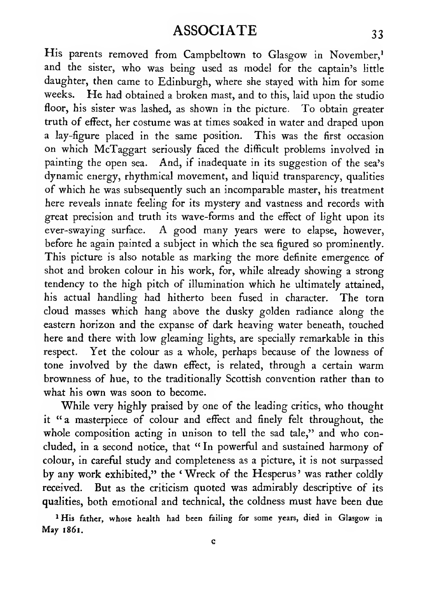His parents removed from Campbeltown to Glasgow in November,<sup>1</sup> and the sister, who was being used as model for the captain's little daughter, then came to Edinburgh, where she stayed with him for some weeks. He had obtained <sup>a</sup> broken mast, and to this, laid upon the studio floor, his sister was lashed, as shown in the picture. To obtain greater truth of effect, her costume was at times soaked in water and draped upon a lay-figure placed in the same position. This was the first occasion on which McTaggart seriously faced the difficult problems involved in painting the open sea. And, if inadequate in its suggestion of the sea's dynamic energy, rhythmical movement, and liquid transparency, qualities of which he was subsequently such an incomparable master, his treatment here reveals innate feeling for its mystery and vastness and records with great precision and truth its wave-forms and the effect of light upon its ever-swaying surface. A good many years were to elapse, however, before he again painted a subject in which the sea figured so prominently. This picture is also notable as marking the more definite emergence of shot and broken colour in his work, for, while already showing a strong tendency to the high pitch of illumination which he ultimately attained, his actual handling had hitherto been fused in character. The torn cloud masses which hang above the dusky golden radiance along the eastern horizon and the expanse of dark heaving water beneath, touched here and there with low gleaming lights, are specially remarkable in this respect. Yet the colour as a whole, perhaps because of the lowness of tone involved by the dawn effect, is related, through <sup>a</sup> certain warm brownness of hue, to the traditionally Scottish convention rather than to what his own was soon to become.

While very highly praised by one of the leading critics, who thought it "a masterpiece of colour and effect and finely felt throughout, the whole composition acting in unison to tell the sad tale," and who concluded, in a second notice, that " In powerful and sustained harmony of colour, in careful study and completeness as a picture, it is not surpassed by any work exhibited," the ' Wreck of the Hesperus ' was rather coldly received. But as the criticism quoted was admirably descriptive of its qualities, both emotional and technical, the coldness must have been due

<sup>1</sup>His father, whose health had been failing for some years, died in Glasgow in May 1861.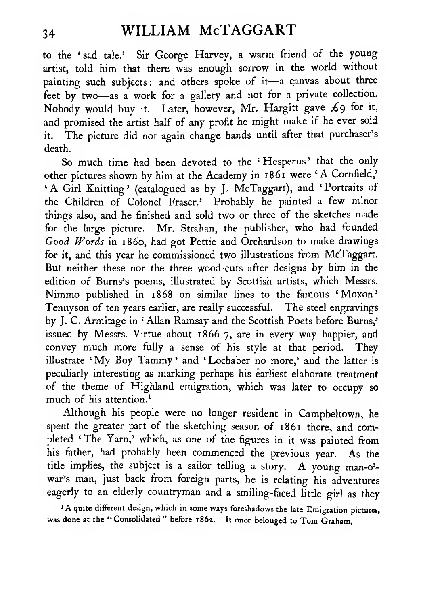to the 'sad tale.' Sir George Harvey, <sup>a</sup> warm friend of the young artist, told him that there was enough sorrow in the world without painting such subjects: and others spoke of it—<sup>a</sup> canvas about three feet by two—as <sup>a</sup> work for <sup>a</sup> gallery and not for <sup>a</sup> private collection. Nobody would buy it. Later, however, Mr. Hargitt gave  $\mathcal{L}_9$  for it, and promised the artist half of any profit he might make if he ever sold it. The picture did not again change hands until after that purchaser's death.

So much time had been devoted to the 'Hesperus' that the only other pictures shown by him at the Academy in 1861 were 'A Cornfield,' 'A Girl Knitting' (catalogued as by J. McTaggart), and 'Portraits of the Children of Colonel Fraser.' Probably he painted a few minor things also, and he finished and sold two or three of the sketches made for the large picture. Mr. Strahan, the publisher, who had founded Good Words in  $1860$ , had got Pettie and Orchardson to make drawings for it, and this year he commissioned two illustrations from McTaggart. But neither these nor the three wood-cuts after designs by him in the edition of Burns's poems, illustrated by Scottish artists, which Messrs. Nimmo published in 1868 on similar lines to the famous 'Moxon' Tennyson of ten years earlier, are really successful. The steel engravings by J. C. Armitage in ' Allan Ramsay and the Scottish Poets before Burns,' issued by Messrs. Virtue about 1866-7, are in every way happier, and convey much more fully a sense of his style at that period. They illustrate 'My Boy Tammy' and 'Lochaber no more,' and the latter is peculiarly interesting as marking perhaps his earliest elaborate treatment of the theme of Highland emigration, which was later to occupy so much of his attention. $<sup>1</sup>$ </sup>

Although his people were no longer resident in Campbeltown, he spent the greater part of the sketching season of 1861 there, and completed ' The Yarn,' which, as one of the figures in it was painted from his father, had probably been commenced the previous year. As the title implies, the subject is <sup>a</sup> sailor telling <sup>a</sup> story. A young man-o' war's man, just back from foreign parts, he is relating his adventures eagerly to an elderly countryman and a smiling-faced little girl as they

<sup>1</sup>A quite different design, which in some ways foreshadows the late Emigration pictures, was done at the "Consolidated" before 1862. It once belonged to Tom Graham.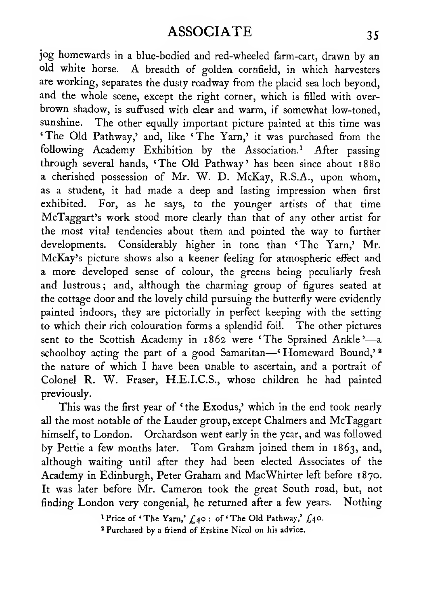jog homewards in a blue-bodied and red-wheeled farm-cart, drawn by an<br>old white horse. A breadth of golden cornfield, in which harvesters A breadth of golden cornfield, in which harvesters are working, separates the dusty roadway from the placid sea loch beyond, and the whole scene, except the right corner, which is filled with over brown shadow, is suffused with clear and warm, if somewhat low-toned, sunshine. The other equally important picture painted at this time was ' The Old Pathway,' and, like ' The Yarn,' it was purchased from the following Academy Exhibition by the Association.<sup>1</sup> After passing through several hands, 'The Old Pathway' has been since about 1880 <sup>a</sup> cherished possession of Mr. W. D. McKay, R.S.A., upon whom, as a student, it had made a deep and lasting impression when first exhibited. For, as he says, to the younger artists of that time McTaggart's work stood more clearly than that of any other artist for the most vital tendencies about them and pointed the way to further developments. Considerably higher in tone than 'The Yarn,' Mr. McKay's picture shows also a keener feeling for atmospheric effect and a more developed sense of colour, the greens being peculiarly fresh and lustrous ; and, although the charming group of figures seated at the cottage door and the lovely child pursuing the butterfly were evidently painted indoors, they are pictorially in perfect keeping with the setting to which their rich colouration forms a splendid foil. The other pictures sent to the Scottish Academy in 1862 were 'The Sprained Ankle'—a schoolboy acting the part of a good Samaritan-' Homeward Bound,' 2 the nature of which <sup>I</sup> have been unable to ascertain, and a portrait of Colonel R. W. Fraser, H.E.I.C.S., whose children he had painted previously.

This was the first year of 'the Exodus,' which in the end took nearly all the most notable of the Lauder group, except Chalmers and McTaggart himself, to London. Orchardson went early in the year, and was followed by Pettie <sup>a</sup> few months later. Tom Graham joined them in 1863, and, although waiting until after they had been elected Associates of the Academy in Edinburgh, Peter Graham and MacWhirter left before 1870. It was later before Mr. Cameron took the great South road, but, not finding London very congenial, he returned after a few years. Nothing

> <sup>1</sup> Price of 'The Yarn,'  $f_{.40}$  : of 'The Old Pathway,'  $f_{.40}$ . <sup>2</sup> Purchased by a friend of Erskine Nicol on his advice,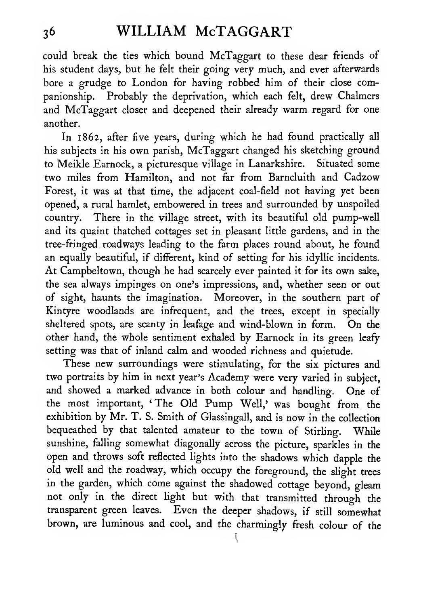could break the ties which bound McTaggart to these dear friends of his student days, but he felt their going very much, and ever afterwards bore a grudge to London for having robbed him of their close companionship. Probably the deprivation, which each felt, drew Chalmers and McTaggart closer and deepened their already warm regard for one another.

In 1862, after five years, during which he had found practically all his subjects in his own parish, McTaggart changed his sketching ground to Meikle Earnock, a picturesque village in Lanarkshire. Situated some two miles from Hamilton, and not far from Barncluith and Cadzow Forest, it was at that time, the adjacent coal-field not having yet been opened, a rural hamlet, embowered in trees and surrounded by unspoiled country. There in the village street, with its beautiful old pump-well and its quaint thatched cottages set in pleasant little gardens, and in the tree-fringed roadways leading to the farm places round about, he found an equally beautiful, if different, kind of setting for his idyllic incidents. At Campbeltown, though he had scarcely ever painted it for its own sake, the sea always impinges on one's impressions, and, whether seen or out of sight, haunts the imagination. Moreover, in the southern part of Kintyre woodlands are infrequent, and the trees, except in specially sheltered spots, are scanty in leafage and wind-blown in form. On the other hand, the whole sentiment exhaled by Earnock in its green leafy setting was that of inland calm and wooded richness and quietude.

These new surroundings were stimulating, for the six pictures and two portraits by him in next year's Academy were very varied in subject, and showed <sup>a</sup> marked advance in both colour and handling. One of the most important, 'The Old Pump Well,' was bought from the exhibition by Mr. T. S. Smith of Glassingall, and is now in the collection bequeathed by that talented amateur to the town of Stirling. While sunshine, falling somewhat diagonally across the picture, sparkles in the open and throws soft reflected lights into the shadows which dapple the old well and the roadway, which occupy the foreground, the slight trees in the garden, which come against the shadowed cottage beyond, gleam not only in the direct light but with that transmitted through the transparent green leaves. Even the deeper shadows, if still somewhat brown, are luminous and cool, and the charmingly fresh colour of the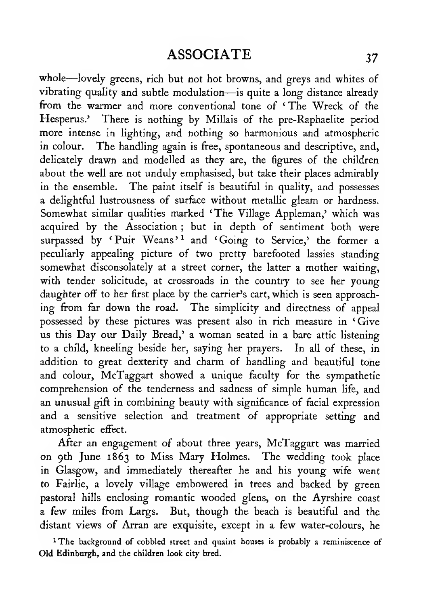whole—lovely greens, rich but not hot browns, and greys and whites of vibrating quality and subtle modulation—is quite <sup>a</sup> long distance already from the warmer and more conventional tone of ' The Wreck of the Hesperus.' There is nothing by Millais of the pre-Raphaelite period more intense in lighting, and nothing so harmonious and atmospheric in colour. The handling again is free, spontaneous and descriptive, and, delicately drawn and modelled as they are, the figures of the children about the well are not unduly emphasised, but take their places admirably in the ensemble. The paint itself is beautiful in quality, and possesses a delightful lustrousness of surface without metallic gleam or hardness. Somewhat similar qualities marked 'The Village Appleman,' which was acquired by the Association ; but in depth of sentiment both were surpassed by 'Puir Weans'<sup>1</sup> and 'Going to Service,' the former a peculiarly appealing picture of two pretty barefooted lassies standing somewhat disconsolately at a street corner, the latter a mother waiting, with tender solicitude, at crossroads in the country to see her young daughter off to her first place by the carrier's cart, which is seen approaching from far down the road. The simplicity and directness of appeal possessed by these pictures was present also in rich measure in 'Give us this Day our Daily Bread,' <sup>a</sup> woman seated in <sup>a</sup> bare attic listening to a child, kneeling beside her, saying her prayers. In all of these, in addition to great dexterity and charm of handling and beautiful tone and colour, McTaggart showed a unique faculty for the sympathetic comprehension of the tenderness and sadness of simple human life, and an unusual gift in combining beauty with significance of facial expression and a sensitive selection and treatment of appropriate setting and atmospheric effect.

After an engagement of about three years, McTaggart was married on 9th June 1863 to Miss Mary Holmes. The wedding took place in Glasgow, and immediately thereafter he and his young wife went to Fairlie, a lovely village embowered in trees and backed by green pastoral hills enclosing romantic wooded glens, on the Ayrshire coast a few miles from Largs. But, though the beach is beautiful and the distant views of Arran are exquisite, except in a few water-colours, he

<sup>1</sup>The background of cobbled street and quaint houses is probably a reminiscence of Old Edinburgh, and the children look city bred.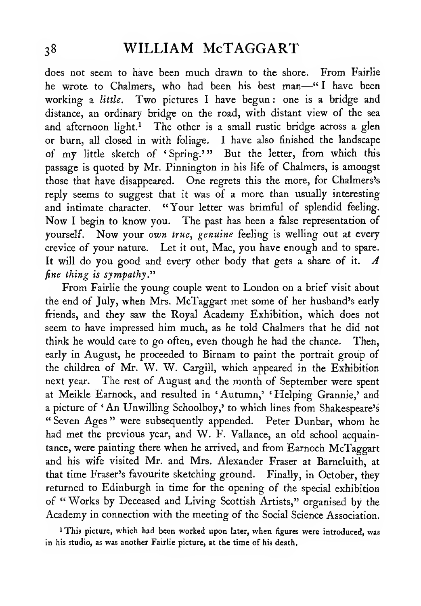does not seem to have been much drawn to the shore. From Fairlie he wrote to Chalmers, who had been his best man—" <sup>I</sup> have been working <sup>a</sup> little. Two pictures <sup>I</sup> have begun : one is <sup>a</sup> bridge and distance, an ordinary bridge on the road, with distant view of the sea and afternoon light.<sup>1</sup> The other is a small rustic bridge across a glen or burn, all closed in with foliage. <sup>I</sup> have also finished the landscape of my little sketch of 'Spring.'" But the letter, from which this passage is quoted by Mr. Pinnington in his life of Chalmers, is amongst those that have disappeared. One regrets this the more, for Chalmers's reply seems to suggest that it was of a more than usually interesting and intimate character. "Your letter was brimful of splendid feeling. Now <sup>I</sup> begin to know you. The past has been <sup>a</sup> false representation of yourself. Now your own true, genuine feeling is welling out at every crevice of your nature. Let it out, Mac, you have enough and to spare. It will do you good and every other body that gets a share of it.  $\Lambda$ fine thing is sympathy."

From Fairlie the young couple went to London on a brief visit about the end of July, when Mrs. McTaggart met some of her husband's early friends, and they saw the Royal Academy Exhibition, which does not seem to have impressed him much, as he told Chalmers that he did not think he would care to go often, even though he had the chance. Then, early in August, he proceeded to Birnam to paint the portrait group of the children of Mr. W. W. Cargill, which appeared in the Exhibition next year. The rest of August and the month of September were spent at Meikle Earnock, and resulted in 'Autumn,' 'Helping Grannie,' and <sup>a</sup> picture of ' An Unwilling Schoolboy,' to which lines from Shakespeare's " Seven Ages" were subsequently appended. Peter Dunbar, whom he had met the previous year, and W. F. Vallance, an old school acquaintance, were painting there when he arrived, and from Earnoch McTaggart and his wife visited Mr. and Mrs. Alexander Eraser at Barncluith, at that time Eraser's favourite sketching ground. Finally, in October, they returned to Edinburgh in time for the opening of the special exhibition of " Works by Deceased and Living Scottish Artists," organised by the Academy in connection with the meeting of the Social Science Association.

<sup>1</sup> This picture, which had been worked upon later, when figures were introduced, was in his studio, as was another Fairlie picture, at the time of his death.